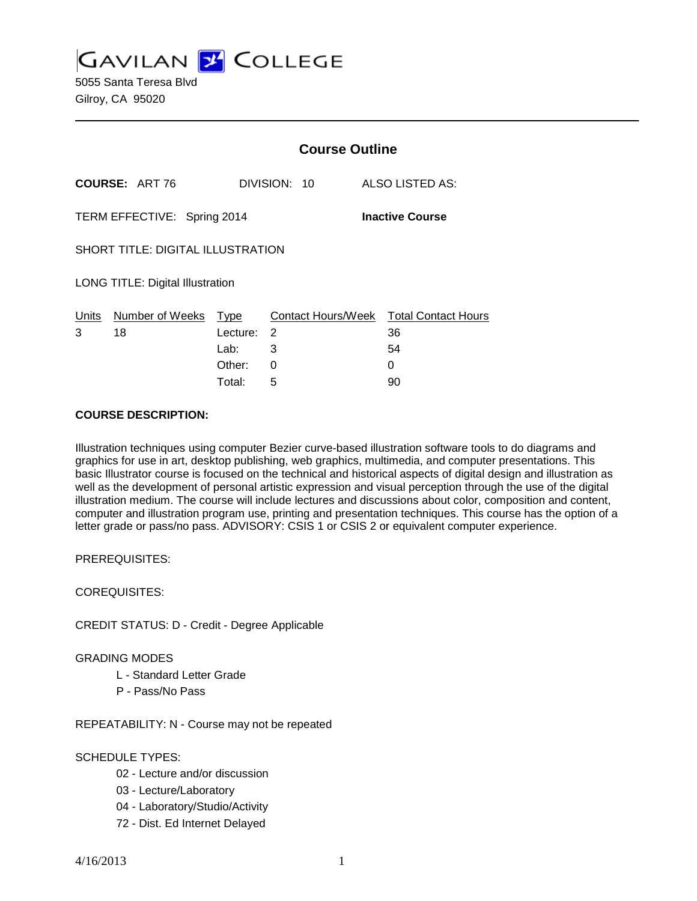**GAVILAN J' COLLEGE** 

|                                                       |                            | <b>Course Outline</b> |                 |                                        |
|-------------------------------------------------------|----------------------------|-----------------------|-----------------|----------------------------------------|
| <b>COURSE: ART 76</b>                                 |                            | DIVISION: 10          | ALSO LISTED AS: |                                        |
| TERM EFFECTIVE: Spring 2014<br><b>Inactive Course</b> |                            |                       |                 |                                        |
| <b>SHORT TITLE: DIGITAL ILLUSTRATION</b>              |                            |                       |                 |                                        |
| <b>LONG TITLE: Digital Illustration</b>               |                            |                       |                 |                                        |
|                                                       | Units Number of Weeks Type |                       |                 | Contact Hours/Week Total Contact Hours |
| 3                                                     | 18                         | Lecture: 2            |                 | 36                                     |
|                                                       |                            | Lab:                  | 3               | 54                                     |
|                                                       |                            | Other:                | 0               | 0                                      |
|                                                       |                            | Total:                | 5               | 90                                     |

#### **COURSE DESCRIPTION:**

Illustration techniques using computer Bezier curve-based illustration software tools to do diagrams and graphics for use in art, desktop publishing, web graphics, multimedia, and computer presentations. This basic Illustrator course is focused on the technical and historical aspects of digital design and illustration as well as the development of personal artistic expression and visual perception through the use of the digital illustration medium. The course will include lectures and discussions about color, composition and content, computer and illustration program use, printing and presentation techniques. This course has the option of a letter grade or pass/no pass. ADVISORY: CSIS 1 or CSIS 2 or equivalent computer experience.

PREREQUISITES:

COREQUISITES:

CREDIT STATUS: D - Credit - Degree Applicable

GRADING MODES

- L Standard Letter Grade
- P Pass/No Pass

REPEATABILITY: N - Course may not be repeated

## SCHEDULE TYPES:

- 02 Lecture and/or discussion
- 03 Lecture/Laboratory
- 04 Laboratory/Studio/Activity
- 72 Dist. Ed Internet Delayed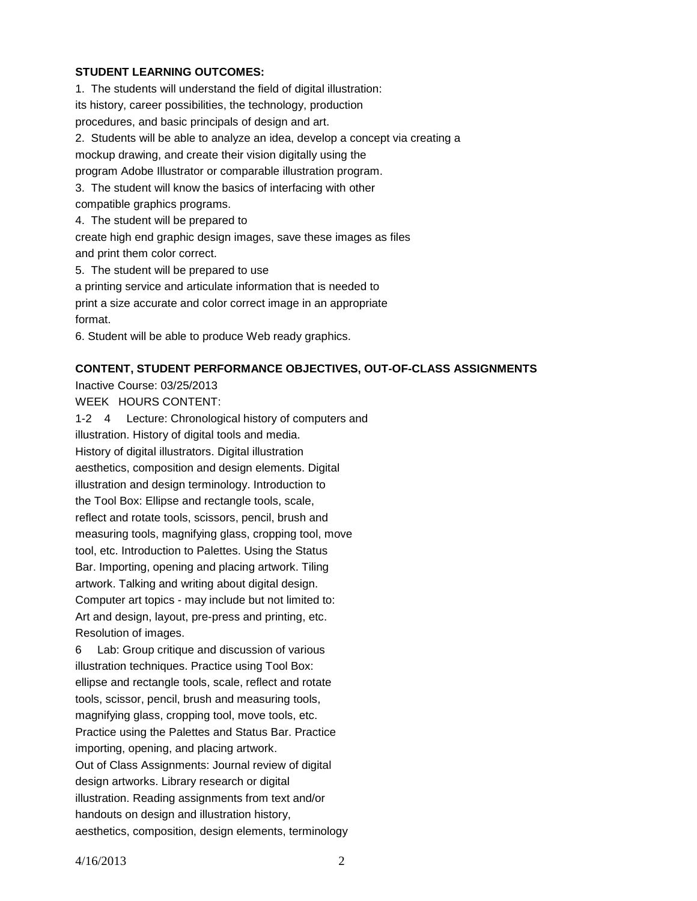## **STUDENT LEARNING OUTCOMES:**

1. The students will understand the field of digital illustration: its history, career possibilities, the technology, production procedures, and basic principals of design and art. 2. Students will be able to analyze an idea, develop a concept via creating a mockup drawing, and create their vision digitally using the program Adobe Illustrator or comparable illustration program. 3. The student will know the basics of interfacing with other compatible graphics programs. 4. The student will be prepared to create high end graphic design images, save these images as files and print them color correct. 5. The student will be prepared to use a printing service and articulate information that is needed to print a size accurate and color correct image in an appropriate format. 6. Student will be able to produce Web ready graphics.

## **CONTENT, STUDENT PERFORMANCE OBJECTIVES, OUT-OF-CLASS ASSIGNMENTS**

Inactive Course: 03/25/2013

WEEK HOURS CONTENT:

1-2 4 Lecture: Chronological history of computers and illustration. History of digital tools and media. History of digital illustrators. Digital illustration aesthetics, composition and design elements. Digital illustration and design terminology. Introduction to the Tool Box: Ellipse and rectangle tools, scale, reflect and rotate tools, scissors, pencil, brush and measuring tools, magnifying glass, cropping tool, move tool, etc. Introduction to Palettes. Using the Status Bar. Importing, opening and placing artwork. Tiling artwork. Talking and writing about digital design. Computer art topics - may include but not limited to: Art and design, layout, pre-press and printing, etc. Resolution of images.

6 Lab: Group critique and discussion of various illustration techniques. Practice using Tool Box: ellipse and rectangle tools, scale, reflect and rotate tools, scissor, pencil, brush and measuring tools, magnifying glass, cropping tool, move tools, etc. Practice using the Palettes and Status Bar. Practice importing, opening, and placing artwork. Out of Class Assignments: Journal review of digital design artworks. Library research or digital illustration. Reading assignments from text and/or handouts on design and illustration history, aesthetics, composition, design elements, terminology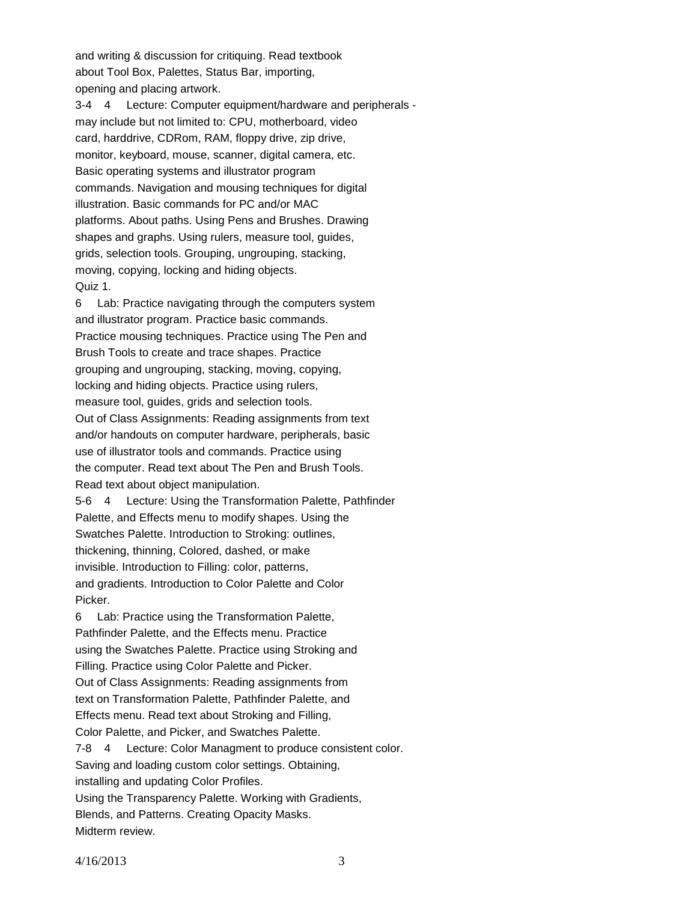and writing & discussion for critiquing. Read textbook about Tool Box, Palettes, Status Bar, importing, opening and placing artwork.

3-4 4 Lecture: Computer equipment/hardware and peripherals may include but not limited to: CPU, motherboard, video card, harddrive, CDRom, RAM, floppy drive, zip drive, monitor, keyboard, mouse, scanner, digital camera, etc. Basic operating systems and illustrator program commands. Navigation and mousing techniques for digital illustration. Basic commands for PC and/or MAC platforms. About paths. Using Pens and Brushes. Drawing shapes and graphs. Using rulers, measure tool, guides, grids, selection tools. Grouping, ungrouping, stacking, moving, copying, locking and hiding objects. Quiz 1.

6 Lab: Practice navigating through the computers system and illustrator program. Practice basic commands. Practice mousing techniques. Practice using The Pen and Brush Tools to create and trace shapes. Practice grouping and ungrouping, stacking, moving, copying, locking and hiding objects. Practice using rulers, measure tool, guides, grids and selection tools. Out of Class Assignments: Reading assignments from text and/or handouts on computer hardware, peripherals, basic use of illustrator tools and commands. Practice using the computer. Read text about The Pen and Brush Tools. Read text about object manipulation.

5-6 4 Lecture: Using the Transformation Palette, Pathfinder Palette, and Effects menu to modify shapes. Using the Swatches Palette. Introduction to Stroking: outlines, thickening, thinning, Colored, dashed, or make invisible. Introduction to Filling: color, patterns, and gradients. Introduction to Color Palette and Color Picker.

6 Lab: Practice using the Transformation Palette, Pathfinder Palette, and the Effects menu. Practice using the Swatches Palette. Practice using Stroking and Filling. Practice using Color Palette and Picker. Out of Class Assignments: Reading assignments from text on Transformation Palette, Pathfinder Palette, and Effects menu. Read text about Stroking and Filling, Color Palette, and Picker, and Swatches Palette. 7-8 4 Lecture: Color Managment to produce consistent color. Saving and loading custom color settings. Obtaining, installing and updating Color Profiles. Using the Transparency Palette. Working with Gradients, Blends, and Patterns. Creating Opacity Masks. Midterm review.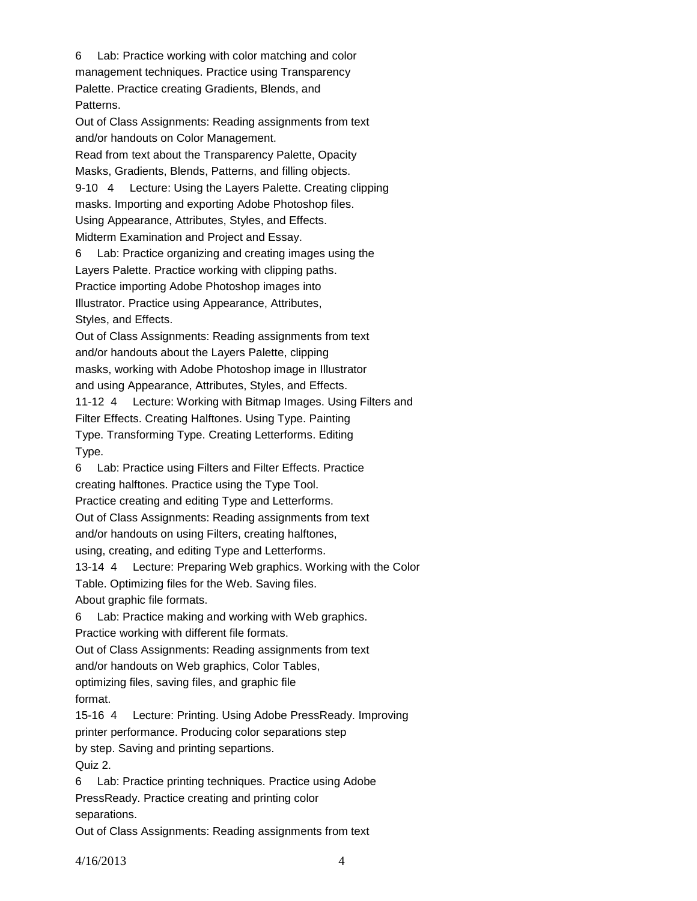6 Lab: Practice working with color matching and color management techniques. Practice using Transparency Palette. Practice creating Gradients, Blends, and Patterns. Out of Class Assignments: Reading assignments from text and/or handouts on Color Management. Read from text about the Transparency Palette, Opacity Masks, Gradients, Blends, Patterns, and filling objects. 9-10 4 Lecture: Using the Layers Palette. Creating clipping masks. Importing and exporting Adobe Photoshop files. Using Appearance, Attributes, Styles, and Effects. Midterm Examination and Project and Essay. 6 Lab: Practice organizing and creating images using the Layers Palette. Practice working with clipping paths. Practice importing Adobe Photoshop images into Illustrator. Practice using Appearance, Attributes, Styles, and Effects. Out of Class Assignments: Reading assignments from text and/or handouts about the Layers Palette, clipping masks, working with Adobe Photoshop image in Illustrator and using Appearance, Attributes, Styles, and Effects. 11-12 4 Lecture: Working with Bitmap Images. Using Filters and Filter Effects. Creating Halftones. Using Type. Painting Type. Transforming Type. Creating Letterforms. Editing Type. 6 Lab: Practice using Filters and Filter Effects. Practice creating halftones. Practice using the Type Tool. Practice creating and editing Type and Letterforms. Out of Class Assignments: Reading assignments from text and/or handouts on using Filters, creating halftones, using, creating, and editing Type and Letterforms. 13-14 4 Lecture: Preparing Web graphics. Working with the Color Table. Optimizing files for the Web. Saving files. About graphic file formats. 6 Lab: Practice making and working with Web graphics. Practice working with different file formats. Out of Class Assignments: Reading assignments from text and/or handouts on Web graphics, Color Tables, optimizing files, saving files, and graphic file format. 15-16 4 Lecture: Printing. Using Adobe PressReady. Improving printer performance. Producing color separations step by step. Saving and printing separtions. Quiz 2. 6 Lab: Practice printing techniques. Practice using Adobe PressReady. Practice creating and printing color separations. Out of Class Assignments: Reading assignments from text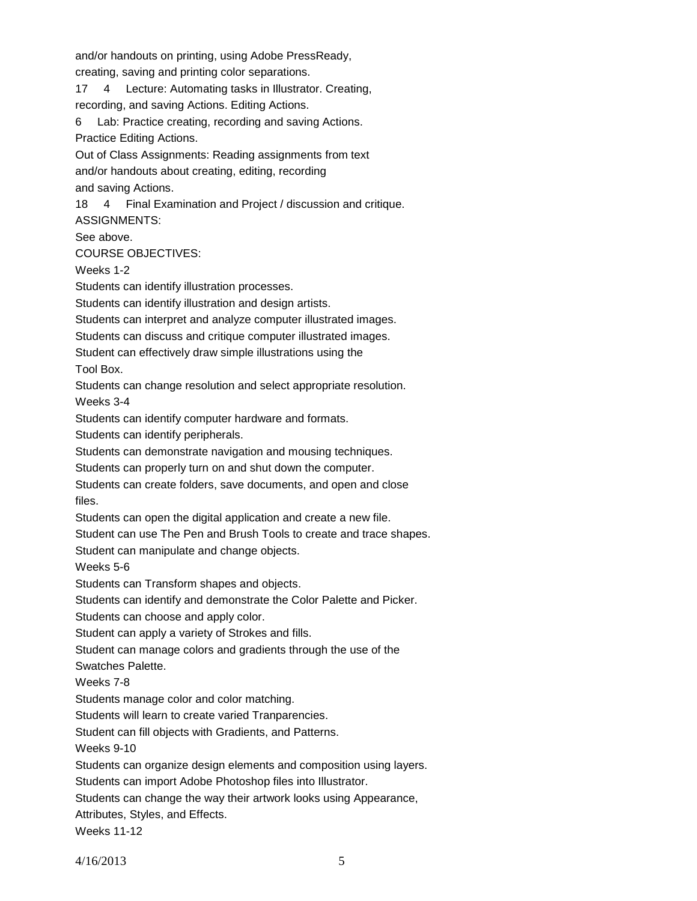and/or handouts on printing, using Adobe PressReady,

creating, saving and printing color separations.

17 4 Lecture: Automating tasks in Illustrator. Creating, recording, and saving Actions. Editing Actions.

6 Lab: Practice creating, recording and saving Actions. Practice Editing Actions.

Out of Class Assignments: Reading assignments from text and/or handouts about creating, editing, recording

and saving Actions.

18 4 Final Examination and Project / discussion and critique.

ASSIGNMENTS:

See above.

COURSE OBJECTIVES:

Weeks 1-2

Students can identify illustration processes.

Students can identify illustration and design artists.

Students can interpret and analyze computer illustrated images.

Students can discuss and critique computer illustrated images.

Student can effectively draw simple illustrations using the

Tool Box.

Students can change resolution and select appropriate resolution.

Weeks 3-4

Students can identify computer hardware and formats.

Students can identify peripherals.

Students can demonstrate navigation and mousing techniques.

Students can properly turn on and shut down the computer.

Students can create folders, save documents, and open and close files.

Students can open the digital application and create a new file.

Student can use The Pen and Brush Tools to create and trace shapes.

Student can manipulate and change objects.

Weeks 5-6

Students can Transform shapes and objects.

Students can identify and demonstrate the Color Palette and Picker.

Students can choose and apply color.

Student can apply a variety of Strokes and fills.

Student can manage colors and gradients through the use of the

Swatches Palette.

Weeks 7-8

Students manage color and color matching.

Students will learn to create varied Tranparencies.

Student can fill objects with Gradients, and Patterns.

Weeks 9-10

Students can organize design elements and composition using layers.

Students can import Adobe Photoshop files into Illustrator.

Students can change the way their artwork looks using Appearance,

Attributes, Styles, and Effects.

Weeks 11-12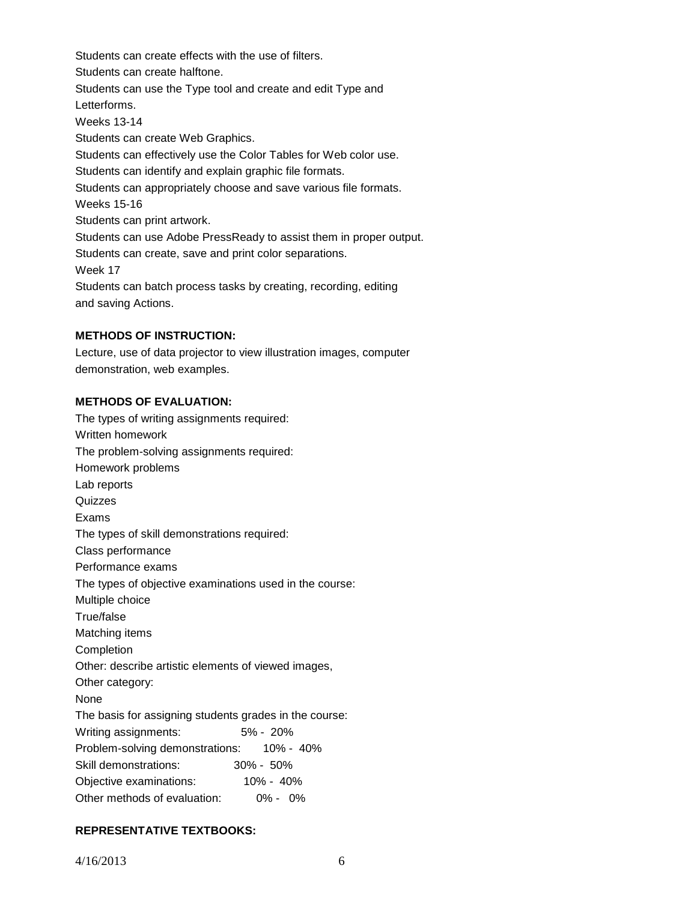Students can create effects with the use of filters. Students can create halftone. Students can use the Type tool and create and edit Type and Letterforms. Weeks 13-14 Students can create Web Graphics. Students can effectively use the Color Tables for Web color use. Students can identify and explain graphic file formats. Students can appropriately choose and save various file formats. Weeks 15-16 Students can print artwork. Students can use Adobe PressReady to assist them in proper output. Students can create, save and print color separations. Week 17 Students can batch process tasks by creating, recording, editing and saving Actions.

#### **METHODS OF INSTRUCTION:**

Lecture, use of data projector to view illustration images, computer demonstration, web examples.

#### **METHODS OF EVALUATION:**

The types of writing assignments required: Written homework The problem-solving assignments required: Homework problems Lab reports **Quizzes** Exams The types of skill demonstrations required: Class performance Performance exams The types of objective examinations used in the course: Multiple choice True/false Matching items Completion Other: describe artistic elements of viewed images, Other category: None The basis for assigning students grades in the course: Writing assignments: 5% - 20% Problem-solving demonstrations: 10% - 40% Skill demonstrations: 30% - 50% Objective examinations: 10% - 40% Other methods of evaluation: 0% - 0%

# **REPRESENTATIVE TEXTBOOKS:**